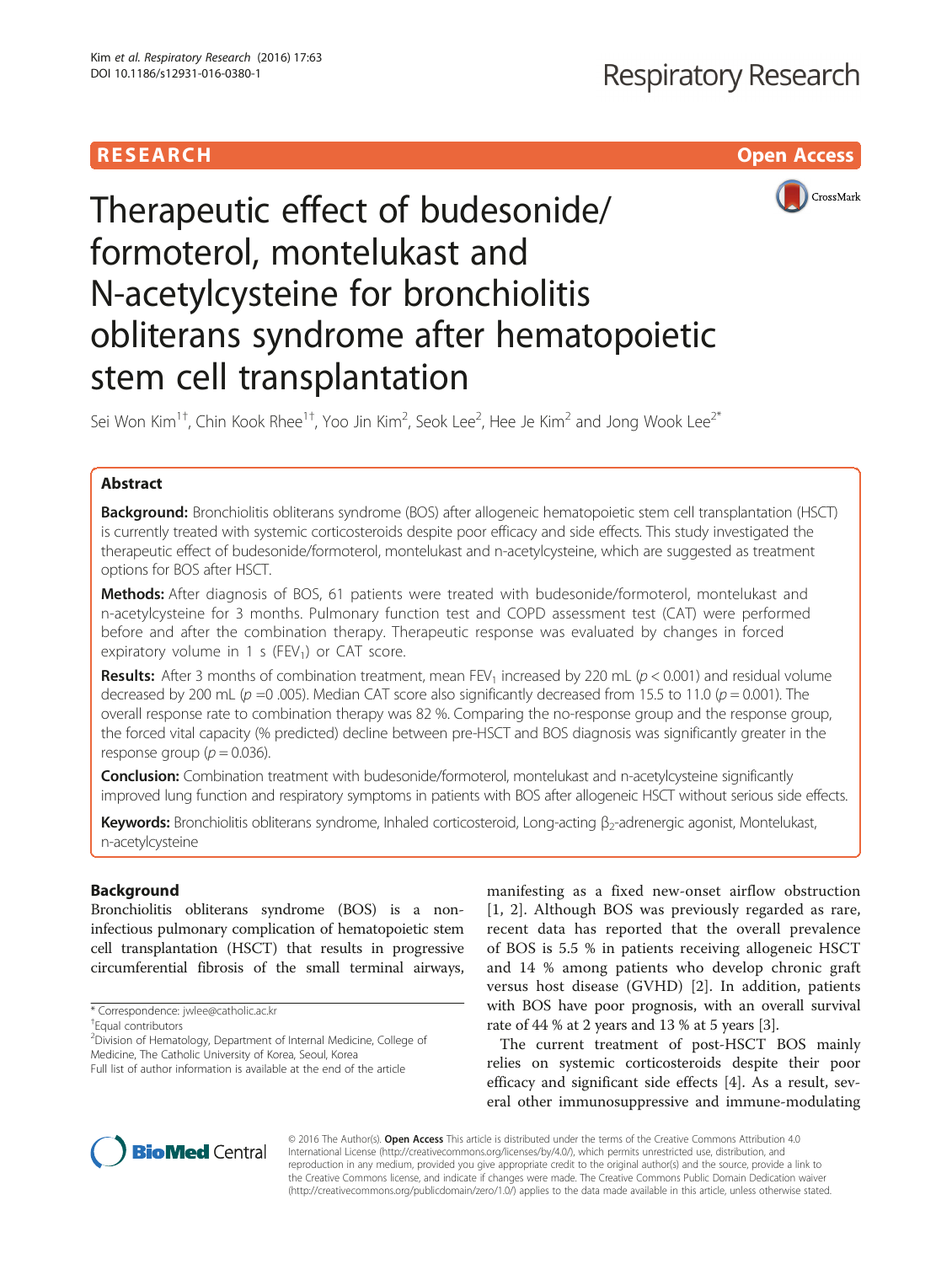## **RESEARCH CH Open Access**



# Therapeutic effect of budesonide/ formoterol, montelukast and N-acetylcysteine for bronchiolitis obliterans syndrome after hematopoietic stem cell transplantation

Sei Won Kim $^{1\dagger}$ , Chin Kook Rhee $^{1\dagger}$ , Yoo Jin Kim $^2$ , Seok Lee $^2$ , Hee Je Kim $^2$  and Jong Wook Lee $^{2^\ast}$ 

## Abstract

Background: Bronchiolitis obliterans syndrome (BOS) after allogeneic hematopoietic stem cell transplantation (HSCT) is currently treated with systemic corticosteroids despite poor efficacy and side effects. This study investigated the therapeutic effect of budesonide/formoterol, montelukast and n-acetylcysteine, which are suggested as treatment options for BOS after HSCT.

Methods: After diagnosis of BOS, 61 patients were treated with budesonide/formoterol, montelukast and n-acetylcysteine for 3 months. Pulmonary function test and COPD assessment test (CAT) were performed before and after the combination therapy. Therapeutic response was evaluated by changes in forced expiratory volume in 1 s (FEV<sub>1</sub>) or CAT score.

**Results:** After 3 months of combination treatment, mean FEV<sub>1</sub> increased by 220 mL ( $p < 0.001$ ) and residual volume decreased by 200 mL ( $p = 0.005$ ). Median CAT score also significantly decreased from 15.5 to 11.0 ( $p = 0.001$ ). The overall response rate to combination therapy was 82 %. Comparing the no-response group and the response group, the forced vital capacity (% predicted) decline between pre-HSCT and BOS diagnosis was significantly greater in the response group ( $p = 0.036$ ).

**Conclusion:** Combination treatment with budesonide/formoterol, montelukast and n-acetylcysteine significantly improved lung function and respiratory symptoms in patients with BOS after allogeneic HSCT without serious side effects.

Keywords: Bronchiolitis obliterans syndrome, Inhaled corticosteroid, Long-acting β<sub>2</sub>-adrenergic agonist, Montelukast, n-acetylcysteine

## Background

Bronchiolitis obliterans syndrome (BOS) is a noninfectious pulmonary complication of hematopoietic stem cell transplantation (HSCT) that results in progressive circumferential fibrosis of the small terminal airways,

Equal contributors

<sup>2</sup> Division of Hematology, Department of Internal Medicine, College of Medicine, The Catholic University of Korea, Seoul, Korea

manifesting as a fixed new-onset airflow obstruction [[1](#page-7-0), [2](#page-7-0)]. Although BOS was previously regarded as rare, recent data has reported that the overall prevalence of BOS is 5.5 % in patients receiving allogeneic HSCT and 14 % among patients who develop chronic graft versus host disease (GVHD) [[2\]](#page-7-0). In addition, patients with BOS have poor prognosis, with an overall survival rate of 44 % at 2 years and 13 % at 5 years [[3](#page-7-0)].

The current treatment of post-HSCT BOS mainly relies on systemic corticosteroids despite their poor efficacy and significant side effects [\[4](#page-7-0)]. As a result, several other immunosuppressive and immune-modulating



© 2016 The Author(s). Open Access This article is distributed under the terms of the Creative Commons Attribution 4.0 International License [\(http://creativecommons.org/licenses/by/4.0/](http://creativecommons.org/licenses/by/4.0/)), which permits unrestricted use, distribution, and reproduction in any medium, provided you give appropriate credit to the original author(s) and the source, provide a link to the Creative Commons license, and indicate if changes were made. The Creative Commons Public Domain Dedication waiver [\(http://creativecommons.org/publicdomain/zero/1.0/](http://creativecommons.org/publicdomain/zero/1.0/)) applies to the data made available in this article, unless otherwise stated.

<sup>\*</sup> Correspondence: [jwlee@catholic.ac.kr](mailto:jwlee@catholic.ac.kr) †

Full list of author information is available at the end of the article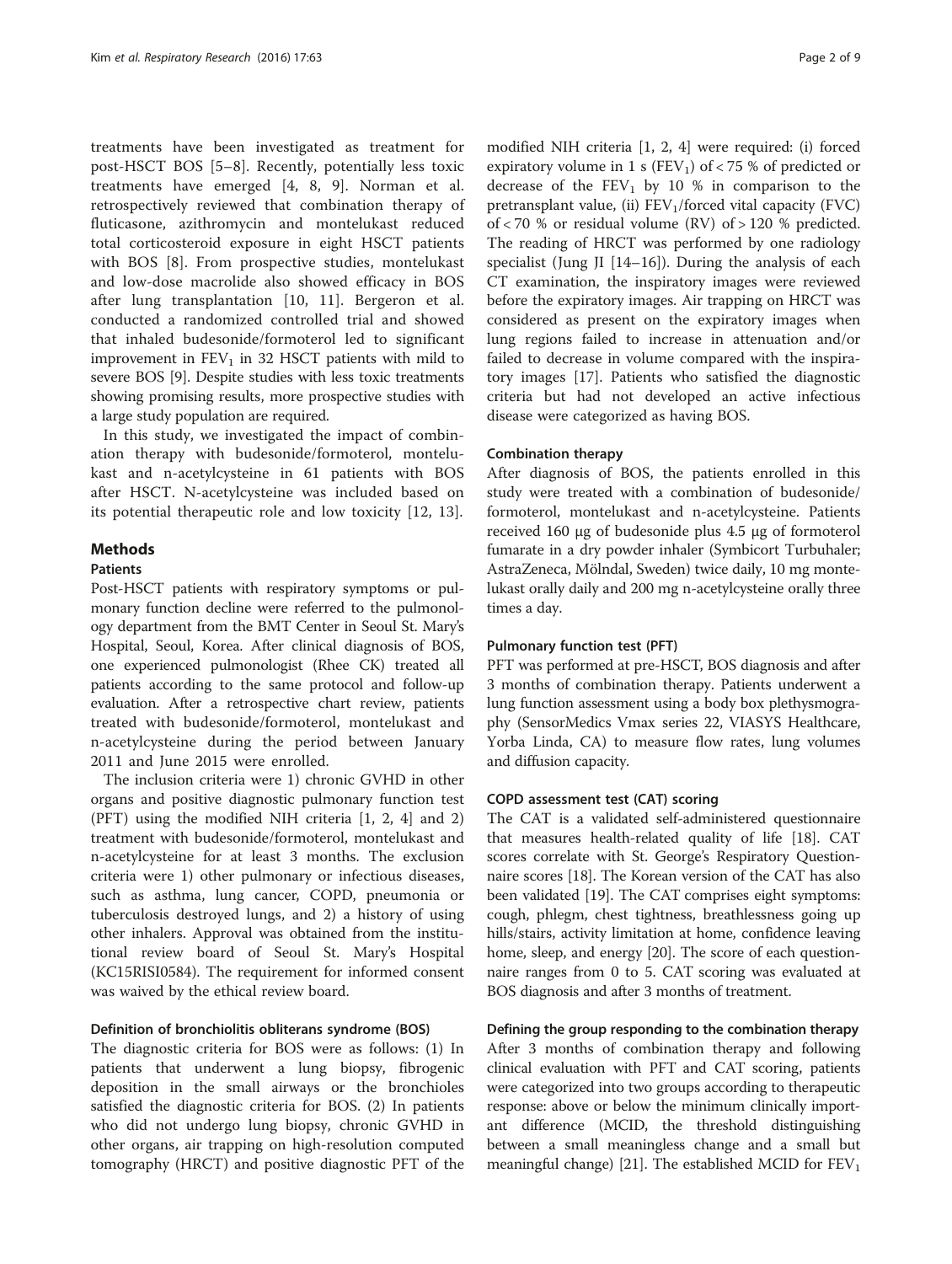treatments have been investigated as treatment for post-HSCT BOS [[5](#page-7-0)–[8\]](#page-7-0). Recently, potentially less toxic treatments have emerged [[4, 8, 9\]](#page-7-0). Norman et al. retrospectively reviewed that combination therapy of fluticasone, azithromycin and montelukast reduced total corticosteroid exposure in eight HSCT patients with BOS [\[8](#page-7-0)]. From prospective studies, montelukast and low-dose macrolide also showed efficacy in BOS after lung transplantation [[10, 11\]](#page-7-0). Bergeron et al. conducted a randomized controlled trial and showed that inhaled budesonide/formoterol led to significant improvement in  $FEV<sub>1</sub>$  in 32 HSCT patients with mild to severe BOS [\[9](#page-7-0)]. Despite studies with less toxic treatments showing promising results, more prospective studies with a large study population are required.

In this study, we investigated the impact of combination therapy with budesonide/formoterol, montelukast and n-acetylcysteine in 61 patients with BOS after HSCT. N-acetylcysteine was included based on its potential therapeutic role and low toxicity [\[12](#page-7-0), [13](#page-7-0)].

## **Methods**

## Patients

Post-HSCT patients with respiratory symptoms or pulmonary function decline were referred to the pulmonology department from the BMT Center in Seoul St. Mary's Hospital, Seoul, Korea. After clinical diagnosis of BOS, one experienced pulmonologist (Rhee CK) treated all patients according to the same protocol and follow-up evaluation. After a retrospective chart review, patients treated with budesonide/formoterol, montelukast and n-acetylcysteine during the period between January 2011 and June 2015 were enrolled.

The inclusion criteria were 1) chronic GVHD in other organs and positive diagnostic pulmonary function test (PFT) using the modified NIH criteria [[1, 2](#page-7-0), [4\]](#page-7-0) and 2) treatment with budesonide/formoterol, montelukast and n-acetylcysteine for at least 3 months. The exclusion criteria were 1) other pulmonary or infectious diseases, such as asthma, lung cancer, COPD, pneumonia or tuberculosis destroyed lungs, and 2) a history of using other inhalers. Approval was obtained from the institutional review board of Seoul St. Mary's Hospital (KC15RISI0584). The requirement for informed consent was waived by the ethical review board.

## Definition of bronchiolitis obliterans syndrome (BOS)

The diagnostic criteria for BOS were as follows: (1) In patients that underwent a lung biopsy, fibrogenic deposition in the small airways or the bronchioles satisfied the diagnostic criteria for BOS. (2) In patients who did not undergo lung biopsy, chronic GVHD in other organs, air trapping on high-resolution computed tomography (HRCT) and positive diagnostic PFT of the

modified NIH criteria [[1, 2, 4](#page-7-0)] were required: (i) forced expiratory volume in 1 s (FEV<sub>1</sub>) of < 75 % of predicted or decrease of the  $FEV_1$  by 10 % in comparison to the pretransplant value, (ii)  $FEV<sub>1</sub>/forced$  vital capacity (FVC) of < 70 % or residual volume (RV) of > 120 % predicted. The reading of HRCT was performed by one radiology specialist (Jung JI [\[14](#page-7-0)–[16\]](#page-7-0)). During the analysis of each CT examination, the inspiratory images were reviewed before the expiratory images. Air trapping on HRCT was considered as present on the expiratory images when lung regions failed to increase in attenuation and/or failed to decrease in volume compared with the inspiratory images [\[17\]](#page-7-0). Patients who satisfied the diagnostic criteria but had not developed an active infectious disease were categorized as having BOS.

## Combination therapy

After diagnosis of BOS, the patients enrolled in this study were treated with a combination of budesonide/ formoterol, montelukast and n-acetylcysteine. Patients received 160 μg of budesonide plus 4.5 μg of formoterol fumarate in a dry powder inhaler (Symbicort Turbuhaler; AstraZeneca, Mölndal, Sweden) twice daily, 10 mg montelukast orally daily and 200 mg n-acetylcysteine orally three times a day.

#### Pulmonary function test (PFT)

PFT was performed at pre-HSCT, BOS diagnosis and after 3 months of combination therapy. Patients underwent a lung function assessment using a body box plethysmography (SensorMedics Vmax series 22, VIASYS Healthcare, Yorba Linda, CA) to measure flow rates, lung volumes and diffusion capacity.

## COPD assessment test (CAT) scoring

The CAT is a validated self-administered questionnaire that measures health-related quality of life [\[18\]](#page-7-0). CAT scores correlate with St. George's Respiratory Questionnaire scores [\[18\]](#page-7-0). The Korean version of the CAT has also been validated [\[19\]](#page-7-0). The CAT comprises eight symptoms: cough, phlegm, chest tightness, breathlessness going up hills/stairs, activity limitation at home, confidence leaving home, sleep, and energy [\[20\]](#page-7-0). The score of each questionnaire ranges from 0 to 5. CAT scoring was evaluated at BOS diagnosis and after 3 months of treatment.

## Defining the group responding to the combination therapy After 3 months of combination therapy and following clinical evaluation with PFT and CAT scoring, patients were categorized into two groups according to therapeutic response: above or below the minimum clinically important difference (MCID, the threshold distinguishing between a small meaningless change and a small but meaningful change) [\[21\]](#page-7-0). The established MCID for  $FEV<sub>1</sub>$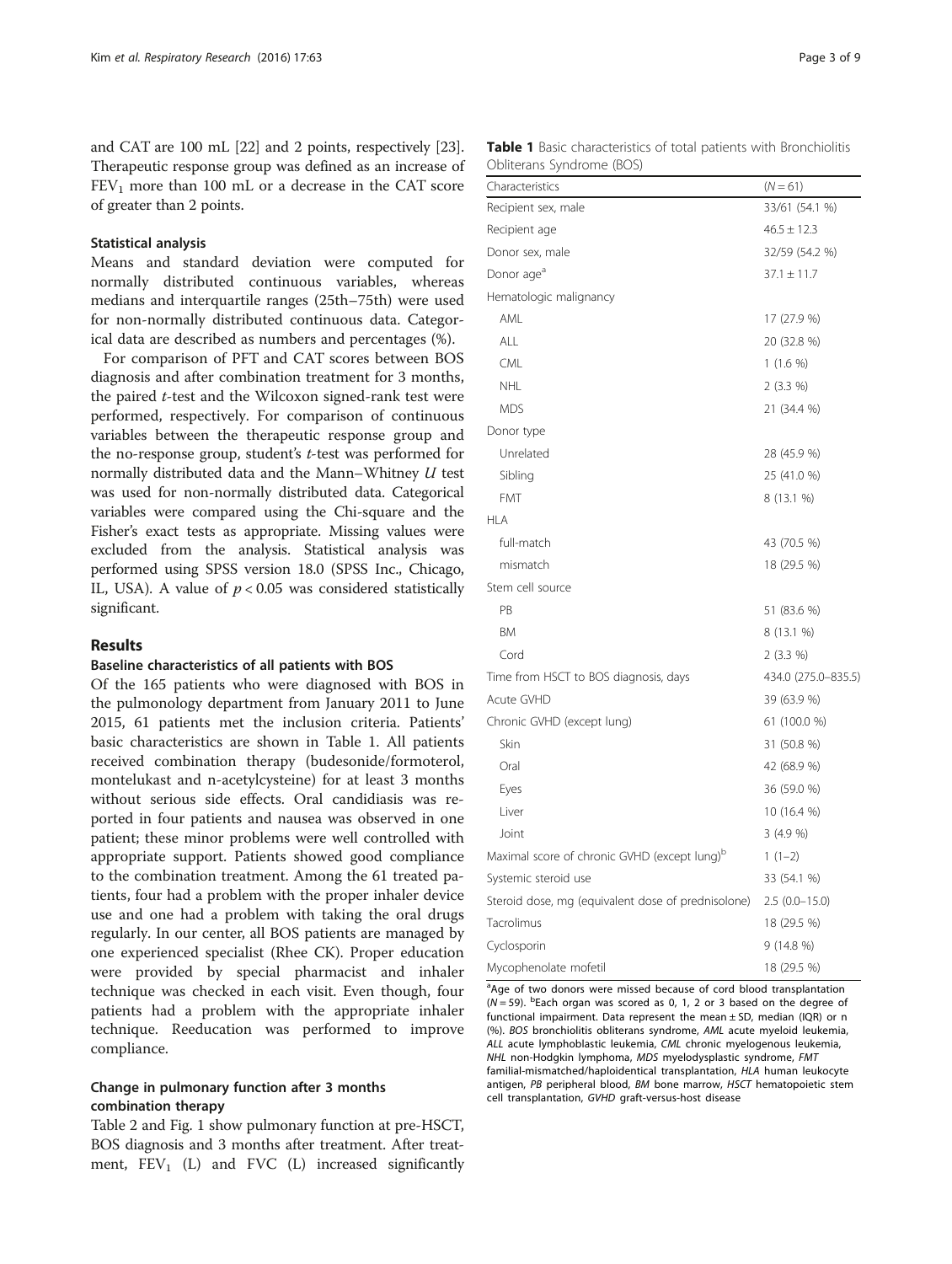and CAT are 100 mL [\[22\]](#page-7-0) and 2 points, respectively [[23](#page-7-0)]. Therapeutic response group was defined as an increase of  $FEV<sub>1</sub>$  more than 100 mL or a decrease in the CAT score of greater than 2 points.

## Statistical analysis

Means and standard deviation were computed for normally distributed continuous variables, whereas medians and interquartile ranges (25th–75th) were used for non-normally distributed continuous data. Categorical data are described as numbers and percentages (%).

For comparison of PFT and CAT scores between BOS diagnosis and after combination treatment for 3 months, the paired t-test and the Wilcoxon signed-rank test were performed, respectively. For comparison of continuous variables between the therapeutic response group and the no-response group, student's t-test was performed for normally distributed data and the Mann–Whitney U test was used for non-normally distributed data. Categorical variables were compared using the Chi-square and the Fisher's exact tests as appropriate. Missing values were excluded from the analysis. Statistical analysis was performed using SPSS version 18.0 (SPSS Inc., Chicago, IL, USA). A value of  $p < 0.05$  was considered statistically significant.

## Results

#### Baseline characteristics of all patients with BOS

Of the 165 patients who were diagnosed with BOS in the pulmonology department from January 2011 to June 2015, 61 patients met the inclusion criteria. Patients' basic characteristics are shown in Table 1. All patients received combination therapy (budesonide/formoterol, montelukast and n-acetylcysteine) for at least 3 months without serious side effects. Oral candidiasis was reported in four patients and nausea was observed in one patient; these minor problems were well controlled with appropriate support. Patients showed good compliance to the combination treatment. Among the 61 treated patients, four had a problem with the proper inhaler device use and one had a problem with taking the oral drugs regularly. In our center, all BOS patients are managed by one experienced specialist (Rhee CK). Proper education were provided by special pharmacist and inhaler technique was checked in each visit. Even though, four patients had a problem with the appropriate inhaler technique. Reeducation was performed to improve compliance.

## Change in pulmonary function after 3 months combination therapy

Table [2](#page-3-0) and Fig. [1](#page-3-0) show pulmonary function at pre-HSCT, BOS diagnosis and 3 months after treatment. After treatment,  $FEV_1$  (L) and  $FVC$  (L) increased significantly

| Table 1 Basic characteristics of total patients with Bronchiolitis |  |  |  |  |  |
|--------------------------------------------------------------------|--|--|--|--|--|
| Obliterans Syndrome (BOS)                                          |  |  |  |  |  |

| Characteristics                                          | $(N = 61)$          |
|----------------------------------------------------------|---------------------|
| Recipient sex, male                                      | 33/61 (54.1 %)      |
| Recipient age                                            | $46.5 \pm 12.3$     |
| Donor sex, male                                          | 32/59 (54.2 %)      |
| Donor age <sup>a</sup>                                   | $37.1 \pm 11.7$     |
| Hematologic malignancy                                   |                     |
| AML                                                      | 17 (27.9 %)         |
| ALL                                                      | 20 (32.8 %)         |
| <b>CML</b>                                               | $1(1.6\%)$          |
| <b>NHL</b>                                               | $2(3.3\%)$          |
| <b>MDS</b>                                               | 21 (34.4 %)         |
| Donor type                                               |                     |
| Unrelated                                                | 28 (45.9 %)         |
| Sibling                                                  | 25 (41.0 %)         |
| <b>FMT</b>                                               | 8 (13.1 %)          |
| <b>HLA</b>                                               |                     |
| full-match                                               | 43 (70.5 %)         |
| mismatch                                                 | 18 (29.5 %)         |
| Stem cell source                                         |                     |
| PB                                                       | 51 (83.6 %)         |
| <b>BM</b>                                                | 8 (13.1 %)          |
| Cord                                                     | 2 (3.3 %)           |
| Time from HSCT to BOS diagnosis, days                    | 434.0 (275.0-835.5) |
| Acute GVHD                                               | 39 (63.9 %)         |
| Chronic GVHD (except lung)                               | 61 (100.0 %)        |
| Skin                                                     | 31 (50.8 %)         |
| Oral                                                     | 42 (68.9 %)         |
| Eyes                                                     | 36 (59.0 %)         |
| Liver                                                    | 10 (16.4 %)         |
| Joint                                                    | 3(4.9%              |
| Maximal score of chronic GVHD (except lung) <sup>b</sup> | $1(1-2)$            |
| Systemic steroid use                                     | 33 (54.1 %)         |
| Steroid dose, mg (equivalent dose of prednisolone)       | $2.5(0.0-15.0)$     |
| Tacrolimus                                               | 18 (29.5 %)         |
| Cyclosporin                                              | $9(14.8\%)$         |
| Mycophenolate mofetil                                    | 18 (29.5 %)         |

<sup>a</sup>Age of two donors were missed because of cord blood transplantation  $(N = 59)$ . <sup>b</sup>Each organ was scored as 0, 1, 2 or 3 based on the degree of functional impairment. Data represent the mean ± SD, median (IQR) or n (%). BOS bronchiolitis obliterans syndrome, AML acute myeloid leukemia, ALL acute lymphoblastic leukemia, CML chronic myelogenous leukemia, NHL non-Hodgkin lymphoma, MDS myelodysplastic syndrome, FMT familial-mismatched/haploidentical transplantation, HLA human leukocyte antigen, PB peripheral blood, BM bone marrow, HSCT hematopoietic stem cell transplantation, GVHD graft-versus-host disease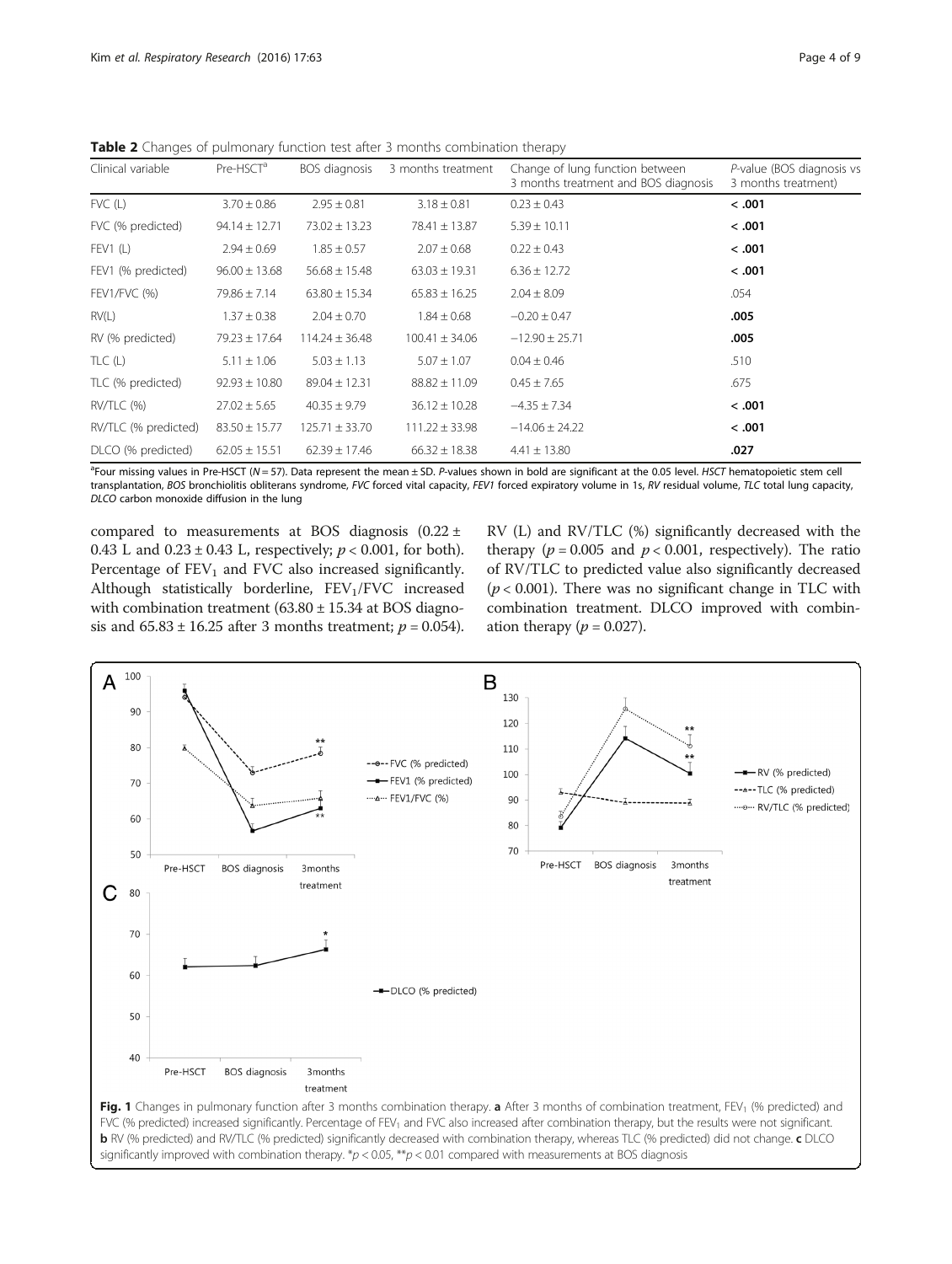<span id="page-3-0"></span>**Table 2** Changes of pulmonary function test after 3 months combination therapy

| Clinical variable    | Pre-HSCT <sup>a</sup> | BOS diagnosis      | 3 months treatment | Change of lung function between<br>3 months treatment and BOS diagnosis | P-value (BOS diagnosis vs<br>3 months treatment) |
|----------------------|-----------------------|--------------------|--------------------|-------------------------------------------------------------------------|--------------------------------------------------|
| $FVC$ (L)            | $3.70 \pm 0.86$       | $2.95 \pm 0.81$    | $3.18 \pm 0.81$    | $0.23 \pm 0.43$                                                         | < .001                                           |
| FVC (% predicted)    | $94.14 \pm 12.71$     | $73.02 \pm 13.23$  | $78.41 \pm 13.87$  | $5.39 \pm 10.11$                                                        | < .001                                           |
| FEV1(L)              | $2.94 \pm 0.69$       | $1.85 \pm 0.57$    | $2.07 \pm 0.68$    | $0.22 \pm 0.43$                                                         | < .001                                           |
| FEV1 (% predicted)   | $96.00 \pm 13.68$     | $56.68 \pm 15.48$  | $63.03 \pm 19.31$  | $6.36 \pm 12.72$                                                        | < .001                                           |
| <b>FEV1/FVC (%)</b>  | $79.86 \pm 7.14$      | $63.80 \pm 15.34$  | $65.83 \pm 16.25$  | $2.04 \pm 8.09$                                                         | .054                                             |
| RV(L)                | $1.37 \pm 0.38$       | $2.04 \pm 0.70$    | $1.84 \pm 0.68$    | $-0.20 \pm 0.47$                                                        | .005                                             |
| RV (% predicted)     | $79.23 \pm 17.64$     | $114.24 \pm 36.48$ | $100.41 \pm 34.06$ | $-12.90 \pm 25.71$                                                      | .005                                             |
| TLC(L)               | $5.11 \pm 1.06$       | $5.03 \pm 1.13$    | $5.07 \pm 1.07$    | $0.04 \pm 0.46$                                                         | .510                                             |
| TLC (% predicted)    | $92.93 \pm 10.80$     | $89.04 \pm 12.31$  | $88.82 \pm 11.09$  | $0.45 \pm 7.65$                                                         | .675                                             |
| $RV/TLC$ $(%)$       | $27.02 \pm 5.65$      | $40.35 \pm 9.79$   | $36.12 \pm 10.28$  | $-4.35 \pm 7.34$                                                        | < .001                                           |
| RV/TLC (% predicted) | $83.50 \pm 15.77$     | $125.71 \pm 33.70$ | $111.22 \pm 33.98$ | $-14.06 \pm 24.22$                                                      | < .001                                           |
| DLCO (% predicted)   | $62.05 \pm 15.51$     | $62.39 \pm 17.46$  | $66.32 \pm 18.38$  | $4.41 \pm 13.80$                                                        | .027                                             |

<sup>a</sup>Four missing values in Pre-HSCT (N = 57). Data represent the mean ± SD. P-values shown in bold are significant at the 0.05 level. HSCT hematopoietic stem cell transplantation, BOS bronchiolitis obliterans syndrome, FVC forced vital capacity, FEV1 forced expiratory volume in 1s, RV residual volume, TLC total lung capacity, DLCO carbon monoxide diffusion in the lung

compared to measurements at BOS diagnosis (0.22 ± 0.43 L and  $0.23 \pm 0.43$  L, respectively;  $p < 0.001$ , for both). Percentage of  $FEV<sub>1</sub>$  and FVC also increased significantly. Although statistically borderline, FEV<sub>1</sub>/FVC increased with combination treatment (63.80 ± 15.34 at BOS diagnosis and  $65.83 \pm 16.25$  after 3 months treatment;  $p = 0.054$ ).

RV (L) and RV/TLC (%) significantly decreased with the therapy ( $p = 0.005$  and  $p < 0.001$ , respectively). The ratio of RV/TLC to predicted value also significantly decreased  $(p < 0.001)$ . There was no significant change in TLC with combination treatment. DLCO improved with combination therapy ( $p = 0.027$ ).

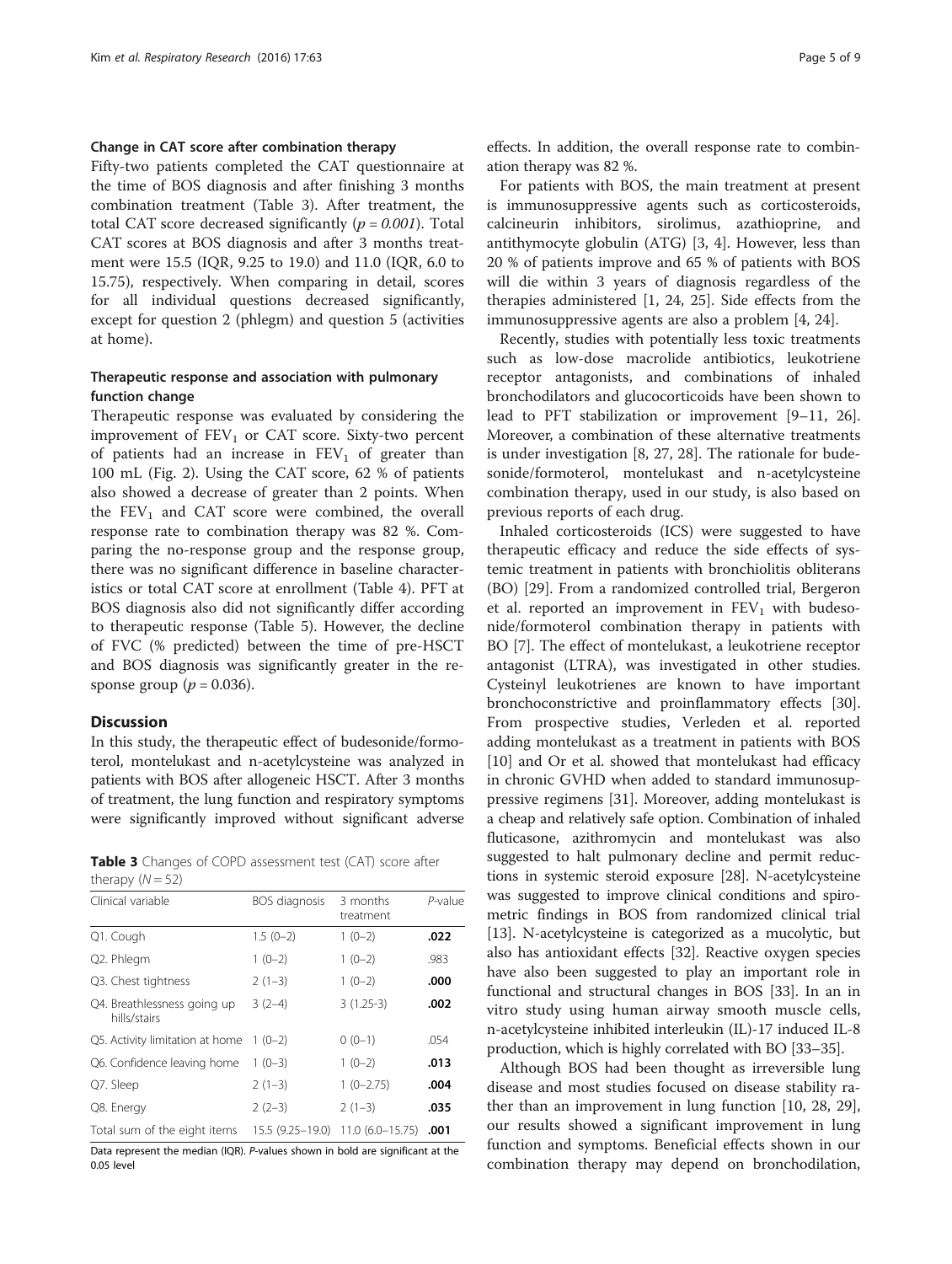## Change in CAT score after combination therapy

Fifty-two patients completed the CAT questionnaire at the time of BOS diagnosis and after finishing 3 months combination treatment (Table 3). After treatment, the total CAT score decreased significantly ( $p = 0.001$ ). Total CAT scores at BOS diagnosis and after 3 months treatment were 15.5 (IQR, 9.25 to 19.0) and 11.0 (IQR, 6.0 to 15.75), respectively. When comparing in detail, scores for all individual questions decreased significantly, except for question 2 (phlegm) and question 5 (activities at home).

## Therapeutic response and association with pulmonary function change

Therapeutic response was evaluated by considering the improvement of  $FEV<sub>1</sub>$  or CAT score. Sixty-two percent of patients had an increase in  $FEV<sub>1</sub>$  of greater than 100 mL (Fig. [2](#page-5-0)). Using the CAT score, 62 % of patients also showed a decrease of greater than 2 points. When the  $FEV<sub>1</sub>$  and CAT score were combined, the overall response rate to combination therapy was 82 %. Comparing the no-response group and the response group, there was no significant difference in baseline characteristics or total CAT score at enrollment (Table [4](#page-6-0)). PFT at BOS diagnosis also did not significantly differ according to therapeutic response (Table [5](#page-6-0)). However, the decline of FVC (% predicted) between the time of pre-HSCT and BOS diagnosis was significantly greater in the response group ( $p = 0.036$ ).

## **Discussion**

In this study, the therapeutic effect of budesonide/formoterol, montelukast and n-acetylcysteine was analyzed in patients with BOS after allogeneic HSCT. After 3 months of treatment, the lung function and respiratory symptoms were significantly improved without significant adverse

Table 3 Changes of COPD assessment test (CAT) score after therapy  $(N = 52)$ 

| Clinical variable                           | BOS diagnosis    | 3 months<br>treatment | $P$ -value |
|---------------------------------------------|------------------|-----------------------|------------|
| Q1. Cough                                   | $1.5(0-2)$       | $1(0-2)$              | .022       |
| Q2. Phlegm                                  | $1(0-2)$         | $1(0-2)$              | .983       |
| Q3. Chest tightness                         | $2(1-3)$         | $1(0-2)$              | .000       |
| Q4. Breathlessness going up<br>hills/stairs | $3(2-4)$         | $3(1.25-3)$           | .002       |
| Q5. Activity limitation at home             | $1(0-2)$         | $0(0-1)$              | .054       |
| Q6. Confidence leaving home                 | $1(0-3)$         | $1(0-2)$              | .013       |
| Q7. Sleep                                   | $2(1-3)$         | $1(0-2.75)$           | .004       |
| Q8. Energy                                  | $2(2-3)$         | $2(1-3)$              | .035       |
| Total sum of the eight items                | 15.5 (9.25–19.0) | $11.0(6.0 - 15.75)$   | .001       |

Data represent the median (IQR). P-values shown in bold are significant at the 0.05 level

effects. In addition, the overall response rate to combination therapy was 82 %.

For patients with BOS, the main treatment at present is immunosuppressive agents such as corticosteroids, calcineurin inhibitors, sirolimus, azathioprine, and antithymocyte globulin (ATG) [\[3](#page-7-0), [4\]](#page-7-0). However, less than 20 % of patients improve and 65 % of patients with BOS will die within 3 years of diagnosis regardless of the therapies administered [\[1](#page-7-0), [24](#page-7-0), [25\]](#page-7-0). Side effects from the immunosuppressive agents are also a problem [[4, 24\]](#page-7-0).

Recently, studies with potentially less toxic treatments such as low-dose macrolide antibiotics, leukotriene receptor antagonists, and combinations of inhaled bronchodilators and glucocorticoids have been shown to lead to PFT stabilization or improvement [\[9](#page-7-0)–[11, 26](#page-7-0)]. Moreover, a combination of these alternative treatments is under investigation [\[8, 27, 28\]](#page-7-0). The rationale for budesonide/formoterol, montelukast and n-acetylcysteine combination therapy, used in our study, is also based on previous reports of each drug.

Inhaled corticosteroids (ICS) were suggested to have therapeutic efficacy and reduce the side effects of systemic treatment in patients with bronchiolitis obliterans (BO) [\[29\]](#page-7-0). From a randomized controlled trial, Bergeron et al. reported an improvement in  $FEV<sub>1</sub>$  with budesonide/formoterol combination therapy in patients with BO [\[7](#page-7-0)]. The effect of montelukast, a leukotriene receptor antagonist (LTRA), was investigated in other studies. Cysteinyl leukotrienes are known to have important bronchoconstrictive and proinflammatory effects [\[30](#page-7-0)]. From prospective studies, Verleden et al. reported adding montelukast as a treatment in patients with BOS [[10\]](#page-7-0) and Or et al. showed that montelukast had efficacy in chronic GVHD when added to standard immunosuppressive regimens [\[31\]](#page-7-0). Moreover, adding montelukast is a cheap and relatively safe option. Combination of inhaled fluticasone, azithromycin and montelukast was also suggested to halt pulmonary decline and permit reductions in systemic steroid exposure [\[28\]](#page-7-0). N-acetylcysteine was suggested to improve clinical conditions and spirometric findings in BOS from randomized clinical trial [[13](#page-7-0)]. N-acetylcysteine is categorized as a mucolytic, but also has antioxidant effects [[32](#page-7-0)]. Reactive oxygen species have also been suggested to play an important role in functional and structural changes in BOS [[33](#page-7-0)]. In an in vitro study using human airway smooth muscle cells, n-acetylcysteine inhibited interleukin (IL)-17 induced IL-8 production, which is highly correlated with BO [\[33](#page-7-0)–[35](#page-7-0)].

Although BOS had been thought as irreversible lung disease and most studies focused on disease stability rather than an improvement in lung function [\[10](#page-7-0), [28, 29](#page-7-0)], our results showed a significant improvement in lung function and symptoms. Beneficial effects shown in our combination therapy may depend on bronchodilation,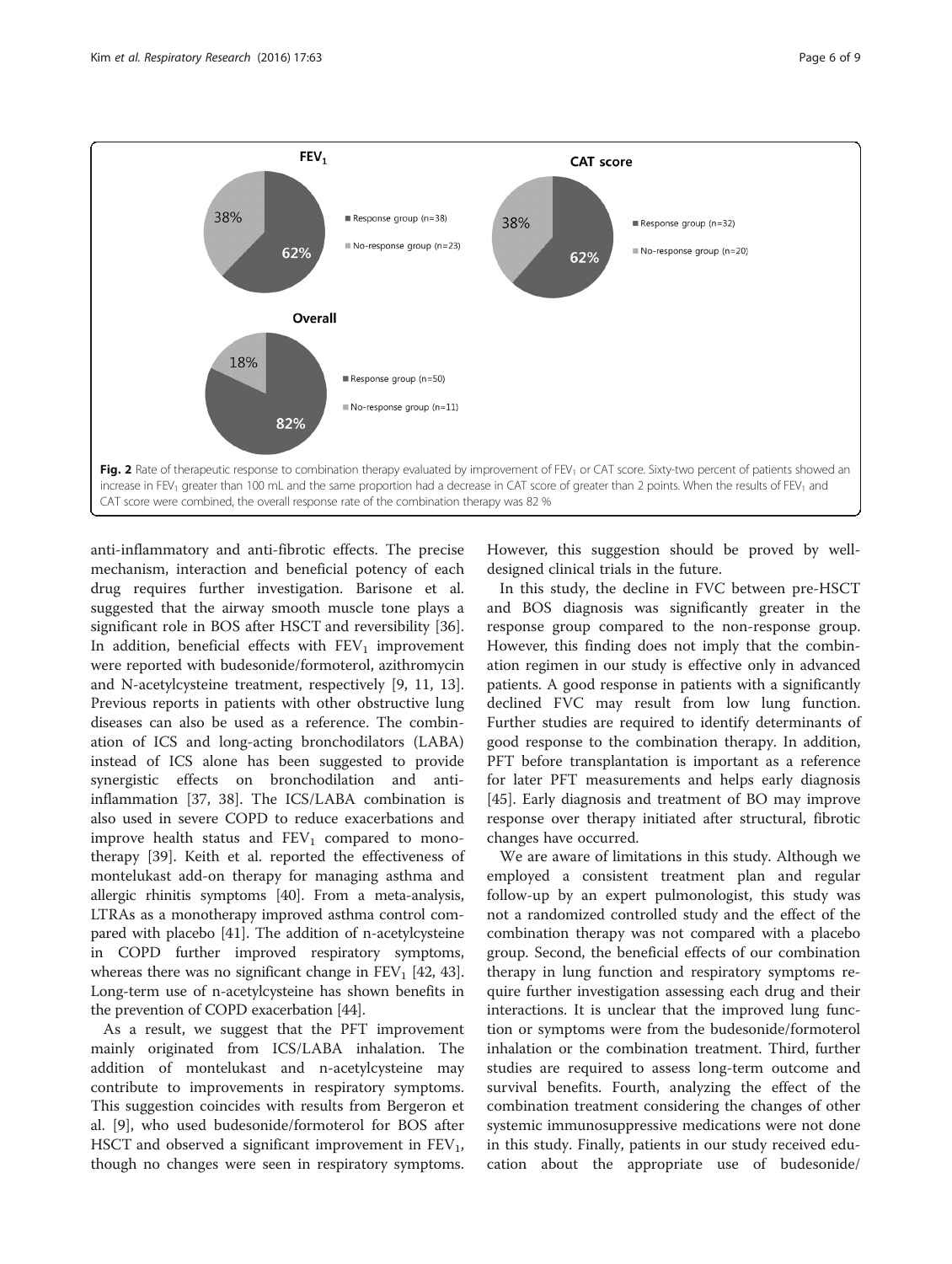<span id="page-5-0"></span>

anti-inflammatory and anti-fibrotic effects. The precise mechanism, interaction and beneficial potency of each drug requires further investigation. Barisone et al. suggested that the airway smooth muscle tone plays a significant role in BOS after HSCT and reversibility [\[36](#page-8-0)]. In addition, beneficial effects with  $FEV<sub>1</sub>$  improvement were reported with budesonide/formoterol, azithromycin and N-acetylcysteine treatment, respectively [\[9, 11](#page-7-0), [13](#page-7-0)]. Previous reports in patients with other obstructive lung diseases can also be used as a reference. The combination of ICS and long-acting bronchodilators (LABA) instead of ICS alone has been suggested to provide synergistic effects on bronchodilation and antiinflammation [[37, 38\]](#page-8-0). The ICS/LABA combination is also used in severe COPD to reduce exacerbations and improve health status and  $FEV<sub>1</sub>$  compared to monotherapy [\[39](#page-8-0)]. Keith et al. reported the effectiveness of montelukast add-on therapy for managing asthma and allergic rhinitis symptoms [[40](#page-8-0)]. From a meta-analysis, LTRAs as a monotherapy improved asthma control compared with placebo [\[41\]](#page-8-0). The addition of n-acetylcysteine in COPD further improved respiratory symptoms, whereas there was no significant change in  $FEV<sub>1</sub>$  [[42](#page-8-0), [43](#page-8-0)]. Long-term use of n-acetylcysteine has shown benefits in the prevention of COPD exacerbation [[44\]](#page-8-0).

As a result, we suggest that the PFT improvement mainly originated from ICS/LABA inhalation. The addition of montelukast and n-acetylcysteine may contribute to improvements in respiratory symptoms. This suggestion coincides with results from Bergeron et al. [[9\]](#page-7-0), who used budesonide/formoterol for BOS after HSCT and observed a significant improvement in  $FEV_1$ , though no changes were seen in respiratory symptoms. However, this suggestion should be proved by welldesigned clinical trials in the future.

In this study, the decline in FVC between pre-HSCT and BOS diagnosis was significantly greater in the response group compared to the non-response group. However, this finding does not imply that the combination regimen in our study is effective only in advanced patients. A good response in patients with a significantly declined FVC may result from low lung function. Further studies are required to identify determinants of good response to the combination therapy. In addition, PFT before transplantation is important as a reference for later PFT measurements and helps early diagnosis [[45\]](#page-8-0). Early diagnosis and treatment of BO may improve response over therapy initiated after structural, fibrotic changes have occurred.

We are aware of limitations in this study. Although we employed a consistent treatment plan and regular follow-up by an expert pulmonologist, this study was not a randomized controlled study and the effect of the combination therapy was not compared with a placebo group. Second, the beneficial effects of our combination therapy in lung function and respiratory symptoms require further investigation assessing each drug and their interactions. It is unclear that the improved lung function or symptoms were from the budesonide/formoterol inhalation or the combination treatment. Third, further studies are required to assess long-term outcome and survival benefits. Fourth, analyzing the effect of the combination treatment considering the changes of other systemic immunosuppressive medications were not done in this study. Finally, patients in our study received education about the appropriate use of budesonide/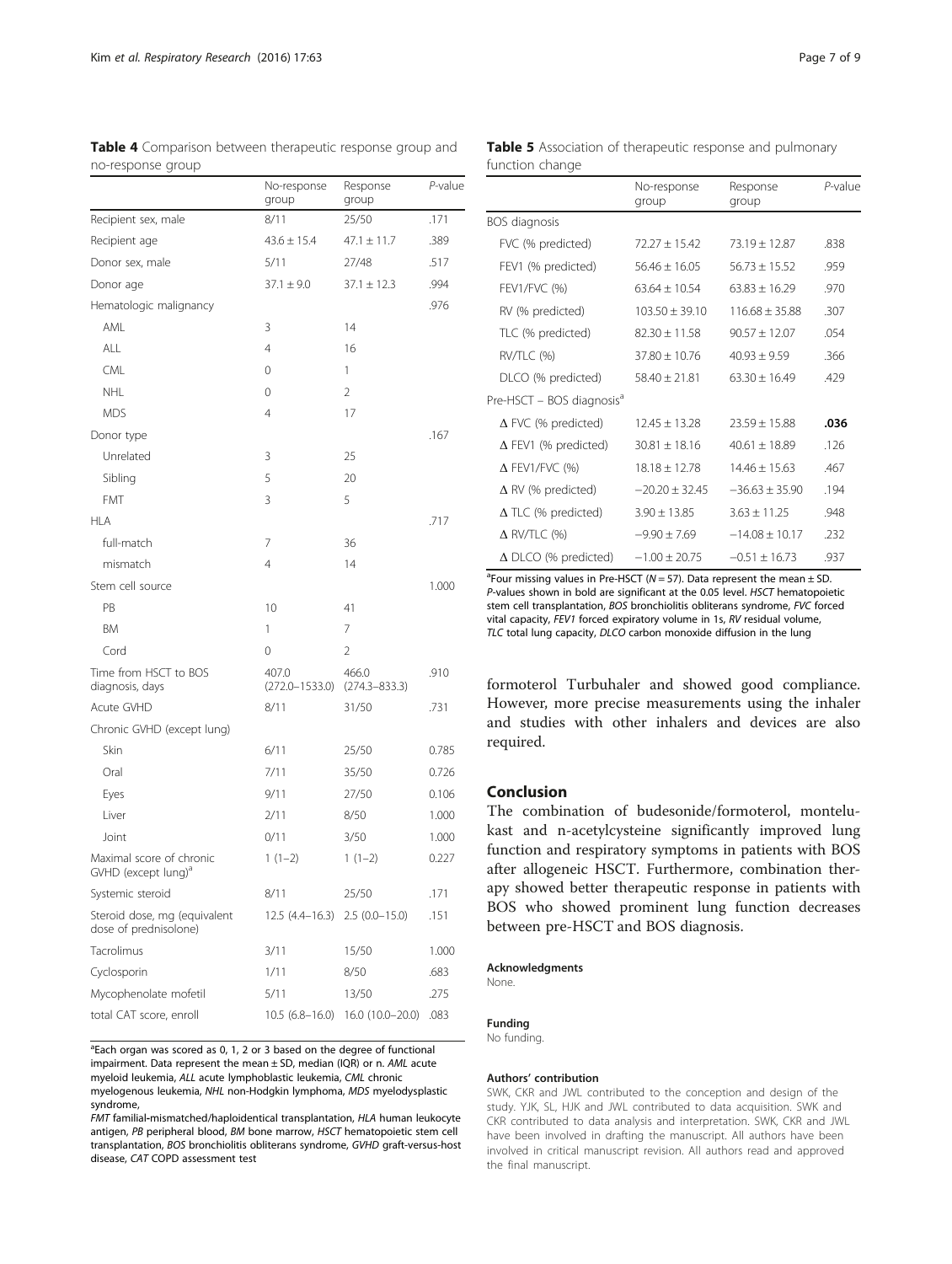|                                                             | No-response<br>group           | Response<br>group          | $P$ -value |
|-------------------------------------------------------------|--------------------------------|----------------------------|------------|
| Recipient sex, male                                         | 8/11                           | 25/50                      | .171       |
| Recipient age                                               | $43.6 \pm 15.4$                | $47.1 \pm 11.7$            | .389       |
| Donor sex, male                                             | 5/11                           | 27/48                      | .517       |
| Donor age                                                   | $37.1 \pm 9.0$                 | $37.1 \pm 12.3$            | .994       |
| Hematologic malignancy                                      |                                |                            | .976       |
| AML                                                         | 3                              | 14                         |            |
| ALL                                                         | 4                              | 16                         |            |
| <b>CML</b>                                                  | 0                              | 1                          |            |
| <b>NHL</b>                                                  | 0                              | 2                          |            |
| <b>MDS</b>                                                  | 4                              | 17                         |            |
| Donor type                                                  |                                |                            | .167       |
| Unrelated                                                   | 3                              | 25                         |            |
| Sibling                                                     | 5                              | 20                         |            |
| <b>FMT</b>                                                  | 3                              | 5                          |            |
| <b>HLA</b>                                                  |                                |                            | .717       |
| full-match                                                  | 7                              | 36                         |            |
| mismatch                                                    | 4                              | 14                         |            |
| Stem cell source                                            |                                |                            | 1.000      |
| PB                                                          | 10                             | 41                         |            |
| ΒM                                                          | 1                              | 7                          |            |
| Cord                                                        | 0                              | 2                          |            |
| Time from HSCT to BOS<br>diagnosis, days                    | 407.0<br>$(272.0 - 1533.0)$    | 466.0<br>$(274.3 - 833.3)$ | .910       |
| Acute GVHD                                                  | 8/11                           | 31/50                      | .731       |
| Chronic GVHD (except lung)                                  |                                |                            |            |
| Skin                                                        | 6/11                           | 25/50                      | 0.785      |
| Oral                                                        | 7/11                           | 35/50                      | 0.726      |
| Eyes                                                        | 9/11                           | 27/50                      | 0.106      |
| Liver                                                       | 2/11                           | 8/50                       | 1.000      |
| Joint                                                       | 0/11                           | 3/50                       | 1.000      |
| Maximal score of chronic<br>GVHD (except lung) <sup>a</sup> | $1(1-2)$                       | $1(1-2)$                   | 0.227      |
| Systemic steroid                                            | 8/11                           | 25/50                      | .171       |
| Steroid dose, mg (equivalent<br>dose of prednisolone)       | 12.5 (4.4–16.3) 2.5 (0.0–15.0) |                            | .151       |
| Tacrolimus                                                  | 3/11                           | 15/50                      | 1.000      |
| Cyclosporin                                                 | 1/11                           | 8/50                       | .683       |
| Mycophenolate mofetil                                       | 5/11                           | 13/50                      | .275       |
| total CAT score, enroll                                     | $10.5(6.8-16.0)$               | 16.0 (10.0-20.0)           | .083       |

<span id="page-6-0"></span>

| Table 4 Comparison between therapeutic response group and |  |  |  |
|-----------------------------------------------------------|--|--|--|
| no-response group                                         |  |  |  |

<sup>a</sup>Each organ was scored as 0, 1, 2 or 3 based on the degree of functional impairment. Data represent the mean ± SD, median (IQR) or n. AML acute myeloid leukemia, ALL acute lymphoblastic leukemia, CML chronic myelogenous leukemia, NHL non-Hodgkin lymphoma, MDS myelodysplastic syndrome,

FMT familial-mismatched/haploidentical transplantation, HLA human leukocyte antigen, PB peripheral blood, BM bone marrow, HSCT hematopoietic stem cell transplantation, BOS bronchiolitis obliterans syndrome, GVHD graft-versus-host disease, CAT COPD assessment test

No-response group Response group P-value BOS diagnosis FVC (% predicted)  $72.27 \pm 15.42$   $73.19 \pm 12.87$  .838

Table 5 Association of therapeutic response and pulmonary

function change

| FEV1 (% predicted)                    | $56.46 + 16.05$    | $56.73 \pm 15.52$  | .959 |
|---------------------------------------|--------------------|--------------------|------|
| <b>FEV1/FVC (%)</b>                   | $63.64 \pm 10.54$  | $63.83 \pm 16.29$  | .970 |
| RV (% predicted)                      | $103.50 + 39.10$   | $116.68 \pm 35.88$ | .307 |
| TLC (% predicted)                     | $82.30 \pm 11.58$  | $90.57 + 12.07$    | .054 |
| RV/TLC (%)                            | $37.80 + 10.76$    | $40.93 \pm 9.59$   | .366 |
| DLCO (% predicted)                    | $58.40 \pm 21.81$  | $63.30 \pm 16.49$  | .429 |
| Pre-HSCT - BOS diagnosis <sup>a</sup> |                    |                    |      |
| $\Delta$ FVC (% predicted)            | $12.45 + 13.28$    | $23.59 + 15.88$    | .036 |
| $\Delta$ FEV1 (% predicted)           | $30.81 \pm 18.16$  | $40.61 \pm 18.89$  | .126 |
| $\Delta$ FEV1/FVC (%)                 | $18.18 \pm 12.78$  | $14.46 + 15.63$    | .467 |
| $\Delta$ RV (% predicted)             | $-20.20 \pm 32.45$ | $-36.63 + 35.90$   | .194 |
| $\Delta$ TLC (% predicted)            | $3.90 \pm 13.85$   | $3.63 + 11.25$     | .948 |
| $\Delta$ RV/TLC (%)                   | $-9.90 \pm 7.69$   | $-14.08 + 10.17$   | .232 |
| $\Delta$ DLCO (% predicted)           | $-1.00 \pm 20.75$  | $-0.51 + 16.73$    | .937 |

<sup>a</sup>Four missing values in Pre-HSCT ( $N = 57$ ). Data represent the mean  $\pm$  SD P-values shown in bold are significant at the 0.05 level. HSCT hematopoietic stem cell transplantation, BOS bronchiolitis obliterans syndrome, FVC forced vital capacity, FEV1 forced expiratory volume in 1s, RV residual volume, TLC total lung capacity, DLCO carbon monoxide diffusion in the lung

formoterol Turbuhaler and showed good compliance. However, more precise measurements using the inhaler and studies with other inhalers and devices are also required.

## Conclusion

The combination of budesonide/formoterol, montelukast and n-acetylcysteine significantly improved lung function and respiratory symptoms in patients with BOS after allogeneic HSCT. Furthermore, combination therapy showed better therapeutic response in patients with BOS who showed prominent lung function decreases between pre-HSCT and BOS diagnosis.

#### Acknowledgments

None.

## Funding

No funding.

#### Authors' contribution

SWK, CKR and JWL contributed to the conception and design of the study. YJK, SL, HJK and JWL contributed to data acquisition. SWK and CKR contributed to data analysis and interpretation. SWK, CKR and JWL have been involved in drafting the manuscript. All authors have been involved in critical manuscript revision. All authors read and approved the final manuscript.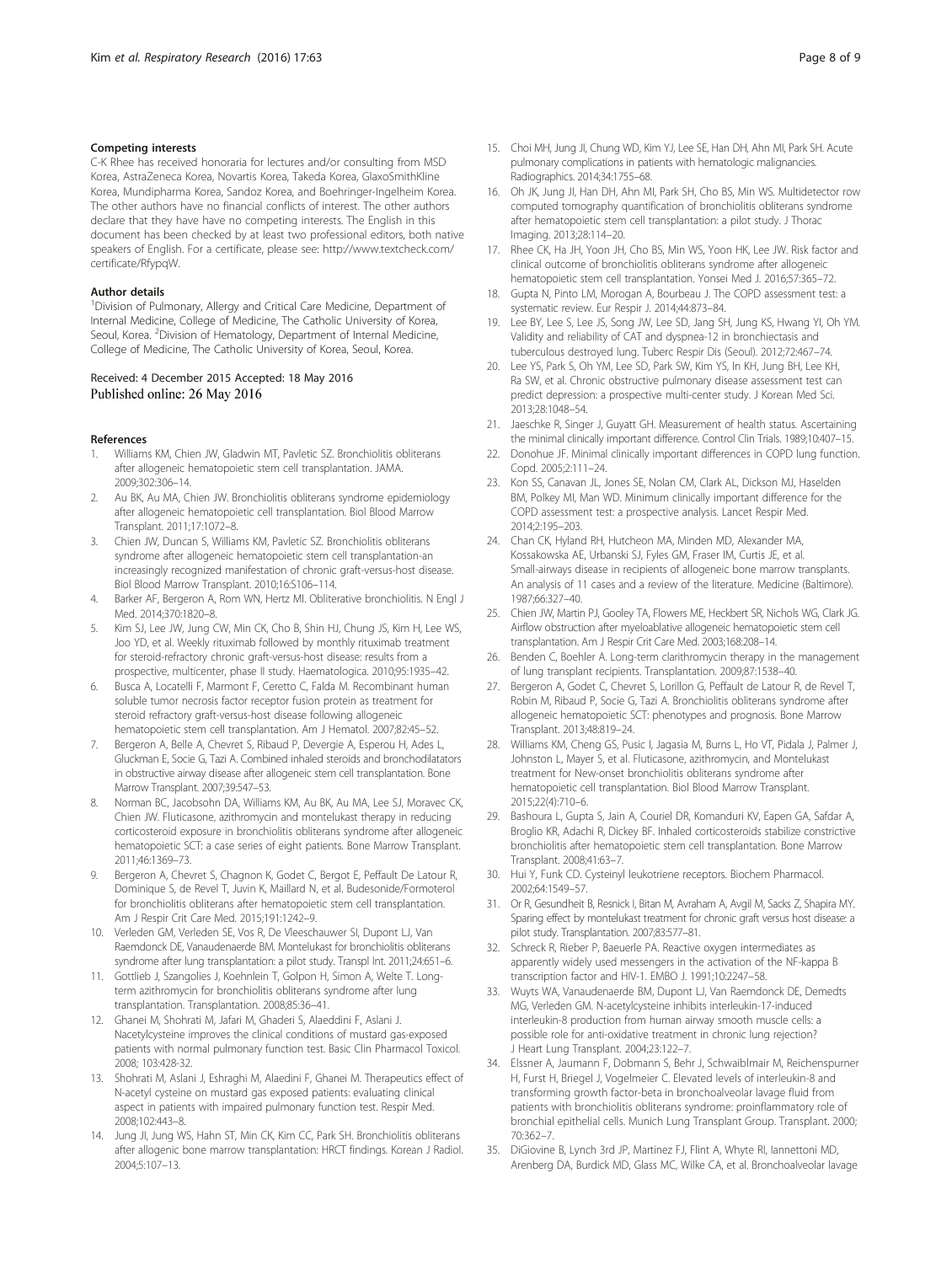## <span id="page-7-0"></span>Competing interests

C-K Rhee has received honoraria for lectures and/or consulting from MSD Korea, AstraZeneca Korea, Novartis Korea, Takeda Korea, GlaxoSmithKline Korea, Mundipharma Korea, Sandoz Korea, and Boehringer-Ingelheim Korea. The other authors have no financial conflicts of interest. The other authors declare that they have have no competing interests. The English in this document has been checked by at least two professional editors, both native speakers of English. For a certificate, please see: [http://www.textcheck.com/](http://www.textcheck.com/certificate/RfypqW) [certificate/RfypqW](http://www.textcheck.com/certificate/RfypqW).

### Author details

<sup>1</sup> Division of Pulmonary, Allergy and Critical Care Medicine, Department of Internal Medicine, College of Medicine, The Catholic University of Korea, Seoul, Korea. <sup>2</sup> Division of Hematology, Department of Internal Medicine, College of Medicine, The Catholic University of Korea, Seoul, Korea.

#### Received: 4 December 2015 Accepted: 18 May 2016 Published online: 26 May 2016

#### References

- 1. Williams KM, Chien JW, Gladwin MT, Pavletic SZ. Bronchiolitis obliterans after allogeneic hematopoietic stem cell transplantation. JAMA. 2009;302:306–14.
- 2. Au BK, Au MA, Chien JW. Bronchiolitis obliterans syndrome epidemiology after allogeneic hematopoietic cell transplantation. Biol Blood Marrow Transplant. 2011;17:1072–8.
- 3. Chien JW, Duncan S, Williams KM, Pavletic SZ. Bronchiolitis obliterans syndrome after allogeneic hematopoietic stem cell transplantation-an increasingly recognized manifestation of chronic graft-versus-host disease. Biol Blood Marrow Transplant. 2010;16:S106–114.
- 4. Barker AF, Bergeron A, Rom WN, Hertz MI. Obliterative bronchiolitis. N Engl J Med. 2014;370:1820–8.
- Kim SJ, Lee JW, Jung CW, Min CK, Cho B, Shin HJ, Chung JS, Kim H, Lee WS, Joo YD, et al. Weekly rituximab followed by monthly rituximab treatment for steroid-refractory chronic graft-versus-host disease: results from a prospective, multicenter, phase II study. Haematologica. 2010;95:1935–42.
- Busca A, Locatelli F, Marmont F, Ceretto C, Falda M. Recombinant human soluble tumor necrosis factor receptor fusion protein as treatment for steroid refractory graft-versus-host disease following allogeneic hematopoietic stem cell transplantation. Am J Hematol. 2007;82:45–52.
- 7. Bergeron A, Belle A, Chevret S, Ribaud P, Devergie A, Esperou H, Ades L, Gluckman E, Socie G, Tazi A. Combined inhaled steroids and bronchodilatators in obstructive airway disease after allogeneic stem cell transplantation. Bone Marrow Transplant. 2007;39:547–53.
- 8. Norman BC, Jacobsohn DA, Williams KM, Au BK, Au MA, Lee SJ, Moravec CK, Chien JW. Fluticasone, azithromycin and montelukast therapy in reducing corticosteroid exposure in bronchiolitis obliterans syndrome after allogeneic hematopoietic SCT: a case series of eight patients. Bone Marrow Transplant. 2011;46:1369–73.
- 9. Bergeron A, Chevret S, Chagnon K, Godet C, Bergot E, Peffault De Latour R, Dominique S, de Revel T, Juvin K, Maillard N, et al. Budesonide/Formoterol for bronchiolitis obliterans after hematopoietic stem cell transplantation. Am J Respir Crit Care Med. 2015;191:1242–9.
- 10. Verleden GM, Verleden SE, Vos R, De Vleeschauwer SI, Dupont LJ, Van Raemdonck DE, Vanaudenaerde BM. Montelukast for bronchiolitis obliterans syndrome after lung transplantation: a pilot study. Transpl Int. 2011;24:651–6.
- 11. Gottlieb J, Szangolies J, Koehnlein T, Golpon H, Simon A, Welte T. Longterm azithromycin for bronchiolitis obliterans syndrome after lung transplantation. Transplantation. 2008;85:36–41.
- 12. Ghanei M, Shohrati M, Jafari M, Ghaderi S, Alaeddini F, Aslani J. Nacetylcysteine improves the clinical conditions of mustard gas-exposed patients with normal pulmonary function test. Basic Clin Pharmacol Toxicol. 2008; 103:428-32.
- 13. Shohrati M, Aslani J, Eshraghi M, Alaedini F, Ghanei M. Therapeutics effect of N-acetyl cysteine on mustard gas exposed patients: evaluating clinical aspect in patients with impaired pulmonary function test. Respir Med. 2008;102:443–8.
- 14. Jung JI, Jung WS, Hahn ST, Min CK, Kim CC, Park SH. Bronchiolitis obliterans after allogenic bone marrow transplantation: HRCT findings. Korean J Radiol. 2004;5:107–13.
- 15. Choi MH, Jung JI, Chung WD, Kim YJ, Lee SE, Han DH, Ahn MI, Park SH. Acute pulmonary complications in patients with hematologic malignancies. Radiographics. 2014;34:1755–68.
- 16. Oh JK, Jung JI, Han DH, Ahn MI, Park SH, Cho BS, Min WS. Multidetector row computed tomography quantification of bronchiolitis obliterans syndrome after hematopoietic stem cell transplantation: a pilot study. J Thorac Imaging. 2013;28:114–20.
- 17. Rhee CK, Ha JH, Yoon JH, Cho BS, Min WS, Yoon HK, Lee JW. Risk factor and clinical outcome of bronchiolitis obliterans syndrome after allogeneic hematopoietic stem cell transplantation. Yonsei Med J. 2016;57:365–72.
- 18. Gupta N, Pinto LM, Morogan A, Bourbeau J. The COPD assessment test: a systematic review. Eur Respir J. 2014;44:873–84.
- 19. Lee BY, Lee S, Lee JS, Song JW, Lee SD, Jang SH, Jung KS, Hwang YI, Oh YM. Validity and reliability of CAT and dyspnea-12 in bronchiectasis and tuberculous destroyed lung. Tuberc Respir Dis (Seoul). 2012;72:467–74.
- 20. Lee YS, Park S, Oh YM, Lee SD, Park SW, Kim YS, In KH, Jung BH, Lee KH, Ra SW, et al. Chronic obstructive pulmonary disease assessment test can predict depression: a prospective multi-center study. J Korean Med Sci. 2013;28:1048–54.
- 21. Jaeschke R, Singer J, Guyatt GH. Measurement of health status. Ascertaining the minimal clinically important difference. Control Clin Trials. 1989;10:407–15.
- 22. Donohue JF. Minimal clinically important differences in COPD lung function. Copd. 2005;2:111–24.
- 23. Kon SS, Canavan JL, Jones SE, Nolan CM, Clark AL, Dickson MJ, Haselden BM, Polkey MI, Man WD. Minimum clinically important difference for the COPD assessment test: a prospective analysis. Lancet Respir Med. 2014;2:195–203.
- 24. Chan CK, Hyland RH, Hutcheon MA, Minden MD, Alexander MA, Kossakowska AE, Urbanski SJ, Fyles GM, Fraser IM, Curtis JE, et al. Small-airways disease in recipients of allogeneic bone marrow transplants. An analysis of 11 cases and a review of the literature. Medicine (Baltimore). 1987;66:327–40.
- 25. Chien JW, Martin PJ, Gooley TA, Flowers ME, Heckbert SR, Nichols WG, Clark JG. Airflow obstruction after myeloablative allogeneic hematopoietic stem cell transplantation. Am J Respir Crit Care Med. 2003;168:208–14.
- 26. Benden C, Boehler A. Long-term clarithromycin therapy in the management of lung transplant recipients. Transplantation. 2009;87:1538–40.
- 27. Bergeron A, Godet C, Chevret S, Lorillon G, Peffault de Latour R, de Revel T, Robin M, Ribaud P, Socie G, Tazi A. Bronchiolitis obliterans syndrome after allogeneic hematopoietic SCT: phenotypes and prognosis. Bone Marrow Transplant. 2013;48:819–24.
- 28. Williams KM, Cheng GS, Pusic I, Jagasia M, Burns L, Ho VT, Pidala J, Palmer J, Johnston L, Mayer S, et al. Fluticasone, azithromycin, and Montelukast treatment for New-onset bronchiolitis obliterans syndrome after hematopoietic cell transplantation. Biol Blood Marrow Transplant. 2015;22(4):710–6.
- 29. Bashoura L, Gupta S, Jain A, Couriel DR, Komanduri KV, Eapen GA, Safdar A, Broglio KR, Adachi R, Dickey BF. Inhaled corticosteroids stabilize constrictive bronchiolitis after hematopoietic stem cell transplantation. Bone Marrow Transplant. 2008;41:63–7.
- 30. Hui Y, Funk CD. Cysteinyl leukotriene receptors. Biochem Pharmacol. 2002;64:1549–57.
- 31. Or R, Gesundheit B, Resnick I, Bitan M, Avraham A, Avgil M, Sacks Z, Shapira MY. Sparing effect by montelukast treatment for chronic graft versus host disease: a pilot study. Transplantation. 2007;83:577–81.
- 32. Schreck R, Rieber P, Baeuerle PA. Reactive oxygen intermediates as apparently widely used messengers in the activation of the NF-kappa B transcription factor and HIV-1. EMBO J. 1991;10:2247–58.
- 33. Wuyts WA, Vanaudenaerde BM, Dupont LJ, Van Raemdonck DE, Demedts MG, Verleden GM. N-acetylcysteine inhibits interleukin-17-induced interleukin-8 production from human airway smooth muscle cells: a possible role for anti-oxidative treatment in chronic lung rejection? J Heart Lung Transplant. 2004;23:122–7.
- 34. Elssner A, Jaumann F, Dobmann S, Behr J, Schwaiblmair M, Reichenspurner H, Furst H, Briegel J, Vogelmeier C. Elevated levels of interleukin-8 and transforming growth factor-beta in bronchoalveolar lavage fluid from patients with bronchiolitis obliterans syndrome: proinflammatory role of bronchial epithelial cells. Munich Lung Transplant Group. Transplant. 2000; 70:362–7.
- 35. DiGiovine B, Lynch 3rd JP, Martinez FJ, Flint A, Whyte RI, Iannettoni MD, Arenberg DA, Burdick MD, Glass MC, Wilke CA, et al. Bronchoalveolar lavage